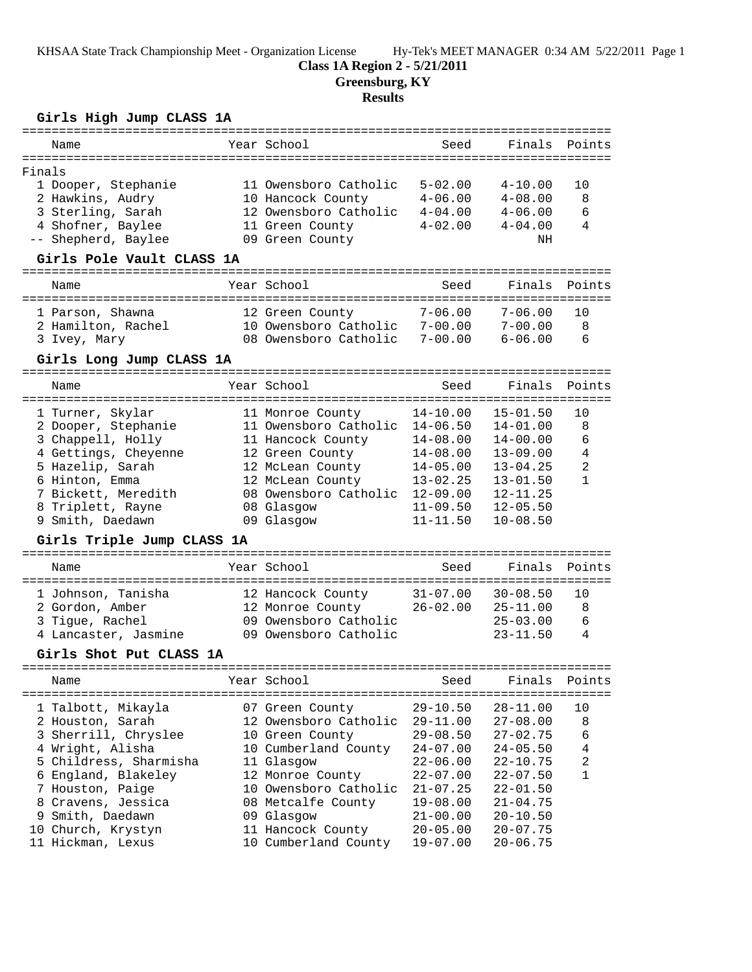#### **Class 1A Region 2 - 5/21/2011**

**Greensburg, KY**

### **Results**

## **Girls High Jump CLASS 1A**

| Name                                                                                                                                                                                                                       | Year School                                                                                                                                                                                             | Seed                                                                                                                                                         | Finals                                                                                                                                               | Points                                 |
|----------------------------------------------------------------------------------------------------------------------------------------------------------------------------------------------------------------------------|---------------------------------------------------------------------------------------------------------------------------------------------------------------------------------------------------------|--------------------------------------------------------------------------------------------------------------------------------------------------------------|------------------------------------------------------------------------------------------------------------------------------------------------------|----------------------------------------|
| ===========                                                                                                                                                                                                                |                                                                                                                                                                                                         |                                                                                                                                                              |                                                                                                                                                      |                                        |
| Finals<br>1 Dooper, Stephanie<br>2 Hawkins, Audry<br>3 Sterling, Sarah<br>4 Shofner, Baylee<br>Shepherd, Baylee<br>$-\,-$                                                                                                  | 11 Owensboro Catholic<br>10 Hancock County<br>12 Owensboro Catholic<br>11 Green County<br>09 Green County                                                                                               | $5 - 02.00$<br>$4 - 06.00$<br>$4 - 04.00$<br>$4 - 02.00$                                                                                                     | $4 - 10.00$<br>$4 - 08.00$<br>$4 - 06.00$<br>$4 - 04.00$<br>NH                                                                                       | 10<br>8<br>6<br>4                      |
| Girls Pole Vault CLASS 1A                                                                                                                                                                                                  |                                                                                                                                                                                                         |                                                                                                                                                              |                                                                                                                                                      |                                        |
| Name                                                                                                                                                                                                                       | Year School                                                                                                                                                                                             | Seed                                                                                                                                                         | Finals                                                                                                                                               | Points                                 |
| 1 Parson, Shawna<br>2 Hamilton, Rachel<br>3 Ivey, Mary                                                                                                                                                                     | 12 Green County<br>10 Owensboro Catholic<br>08 Owensboro Catholic                                                                                                                                       | $7 - 06.00$<br>$7 - 00.00$<br>$7 - 00.00$                                                                                                                    | $7 - 06.00$<br>$7 - 00.00$<br>$6 - 06.00$                                                                                                            | 10<br>8<br>6                           |
| Girls Long Jump CLASS 1A                                                                                                                                                                                                   |                                                                                                                                                                                                         |                                                                                                                                                              |                                                                                                                                                      |                                        |
| Name                                                                                                                                                                                                                       | Year School                                                                                                                                                                                             | Seed                                                                                                                                                         | Finals                                                                                                                                               | Points                                 |
| 1 Turner, Skylar<br>2 Dooper, Stephanie<br>3 Chappell, Holly<br>4 Gettings, Cheyenne<br>5 Hazelip, Sarah<br>6 Hinton, Emma<br>7 Bickett, Meredith<br>8 Triplett, Rayne<br>9 Smith, Daedawn<br>Girls Triple Jump CLASS 1A   | 11 Monroe County<br>11 Owensboro Catholic<br>11 Hancock County<br>12 Green County<br>12 McLean County<br>12 McLean County<br>08 Owensboro Catholic<br>08 Glasgow<br>09 Glasgow                          | $14 - 10.00$<br>$14 - 06.50$<br>$14 - 08.00$<br>$14 - 08.00$<br>$14 - 05.00$<br>$13 - 02.25$<br>$12 - 09.00$<br>$11 - 09.50$<br>$11 - 11.50$                 | $15 - 01.50$<br>$14 - 01.00$<br>$14 - 00.00$<br>$13 - 09.00$<br>$13 - 04.25$<br>$13 - 01.50$<br>$12 - 11.25$<br>$12 - 05.50$<br>$10 - 08.50$         | 10<br>8<br>6<br>4<br>2<br>$\mathbf{1}$ |
|                                                                                                                                                                                                                            |                                                                                                                                                                                                         |                                                                                                                                                              |                                                                                                                                                      |                                        |
| Name                                                                                                                                                                                                                       | Year School                                                                                                                                                                                             | Seed                                                                                                                                                         | Finals                                                                                                                                               | Points                                 |
| 1 Johnson, Tanisha<br>2 Gordon, Amber<br>3 Tigue, Rachel<br>4 Lancaster, Jasmine<br>Girls Shot Put CLASS 1A                                                                                                                | 12 Hancock County<br>12 Monroe County<br>09 Owensboro Catholic<br>09 Owensboro Catholic                                                                                                                 | $31 - 07.00$<br>$26 - 02.00$                                                                                                                                 | $30 - 08.50$<br>$25 - 11.00$<br>$25 - 03.00$<br>$23 - 11.50$                                                                                         | 10<br>8<br>6<br>4                      |
| ----------------                                                                                                                                                                                                           | ----------------                                                                                                                                                                                        |                                                                                                                                                              |                                                                                                                                                      |                                        |
| Name<br>===============================                                                                                                                                                                                    | Year School<br>==========                                                                                                                                                                               | Seed                                                                                                                                                         | Finals                                                                                                                                               | Points<br>===========                  |
| 1 Talbott, Mikayla<br>2 Houston, Sarah<br>3 Sherrill, Chryslee<br>4 Wright, Alisha<br>5 Childress, Sharmisha<br>England, Blakeley<br>6<br>7 Houston, Paige<br>8 Cravens, Jessica<br>9 Smith, Daedawn<br>10 Church, Krystyn | 07 Green County<br>12 Owensboro Catholic<br>10 Green County<br>10 Cumberland County<br>11 Glasgow<br>12 Monroe County<br>10 Owensboro Catholic<br>08 Metcalfe County<br>09 Glasgow<br>11 Hancock County | $29 - 10.50$<br>$29 - 11.00$<br>$29 - 08.50$<br>$24 - 07.00$<br>$22 - 06.00$<br>$22 - 07.00$<br>$21 - 07.25$<br>$19 - 08.00$<br>$21 - 00.00$<br>$20 - 05.00$ | 28-11.00<br>$27 - 08.00$<br>$27 - 02.75$<br>$24 - 05.50$<br>22-10.75<br>$22 - 07.50$<br>$22 - 01.50$<br>$21 - 04.75$<br>$20 - 10.50$<br>$20 - 07.75$ | 10<br>8<br>6<br>4<br>2<br>$\mathbf{1}$ |
| 11 Hickman, Lexus                                                                                                                                                                                                          | 10 Cumberland County                                                                                                                                                                                    | $19 - 07.00$                                                                                                                                                 | $20 - 06.75$                                                                                                                                         |                                        |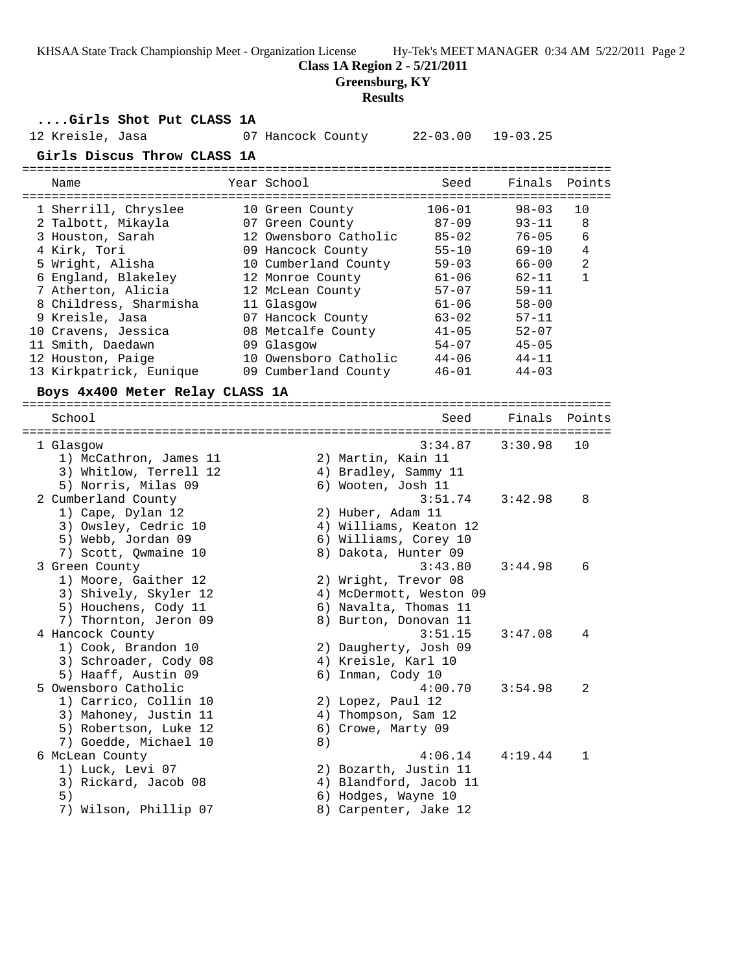**Class 1A Region 2 - 5/21/2011**

**Greensburg, KY**

#### **Results**

**....Girls Shot Put CLASS 1A**

12 Kreisle, Jasa 07 Hancock County 22-03.00 19-03.25

**Girls Discus Throw CLASS 1A**

| Name                    | Year School           | Seed       | Finals Points |    |
|-------------------------|-----------------------|------------|---------------|----|
| 1 Sherrill, Chryslee    | 10 Green County       | $106 - 01$ | $98 - 03$     | 10 |
| 2 Talbott, Mikayla      | 07 Green County       | $87 - 09$  | $93 - 11$     | 8  |
| 3 Houston, Sarah        | 12 Owensboro Catholic | $85 - 02$  | $76 - 05$     | 6  |
| 4 Kirk, Tori            | 09 Hancock County     | $55 - 10$  | $69 - 10$     | 4  |
| 5 Wright, Alisha        | 10 Cumberland County  | $59 - 03$  | $66 - 00$     | 2  |
| 6 England, Blakeley     | 12 Monroe County      | $61 - 06$  | $62 - 11$     | 1  |
| 7 Atherton, Alicia      | 12 McLean County      | $57 - 07$  | $59 - 11$     |    |
| 8 Childress, Sharmisha  | 11 Glasgow            | $61 - 06$  | $58 - 00$     |    |
| 9 Kreisle, Jasa         | 07 Hancock County     | $63 - 02$  | $57 - 11$     |    |
| 10 Cravens, Jessica     | 08 Metcalfe County    | $41 - 05$  | $52 - 07$     |    |
| 11 Smith, Daedawn       | 09 Glasgow            | $54 - 07$  | $45 - 05$     |    |
| 12 Houston, Paige       | 10 Owensboro Catholic | $44 - 06$  | $44 - 11$     |    |
| 13 Kirkpatrick, Eunique | 09 Cumberland County  | $46 - 01$  | $44 - 03$     |    |

**Boys 4x400 Meter Relay CLASS 1A**

================================================================================ School Seed Finals Points ================================================================================ 1 Glasgow 3:34.87 3:30.98 10 1) McCathron, James 11 and 2) Martin, Kain 11 3) Whitlow, Terrell 12 4) Bradley, Sammy 11 5) Norris, Milas 09 6) Wooten, Josh 11 2 Cumberland County 3:51.74 3:42.98 8 1) Cape, Dylan 12 2) Huber, Adam 11 3) Owsley, Cedric 10 4) Williams, Keaton 12 5) Webb, Jordan 09 6) Williams, Corey 10 7) Scott, Qwmaine 10 8) Dakota, Hunter 09 3 Green County 3:43.80 3:44.98 6 1) Moore, Gaither 12 2) Wright, Trevor 08 3) Shively, Skyler 12 4) McDermott, Weston 09 5) Houchens, Cody 11 6) Navalta, Thomas 11 7) Thornton, Jeron 09 8) Burton, Donovan 11 4 Hancock County 3:51.15 3:47.08 4 1) Cook, Brandon 10 2) Daugherty, Josh 09 3) Schroader, Cody 08 (4) Kreisle, Karl 10 5) Haaff, Austin 09 6) Inman, Cody 10 5 Owensboro Catholic 4:00.70 3:54.98 2 1) Carrico, Collin 10 2) Lopez, Paul 12 3) Mahoney, Justin 11 (4) Thompson, Sam 12 5) Robertson, Luke 12 (6) Crowe, Marty 09 7) Goedde, Michael 10 and 8) 6 McLean County 4:06.14 4:19.44 1 1) Luck, Levi 07 2) Bozarth, Justin 11 3) Rickard, Jacob 08 4) Blandford, Jacob 11 5) 6) Hodges, Wayne 10 7) Wilson, Phillip 07 8) Carpenter, Jake 12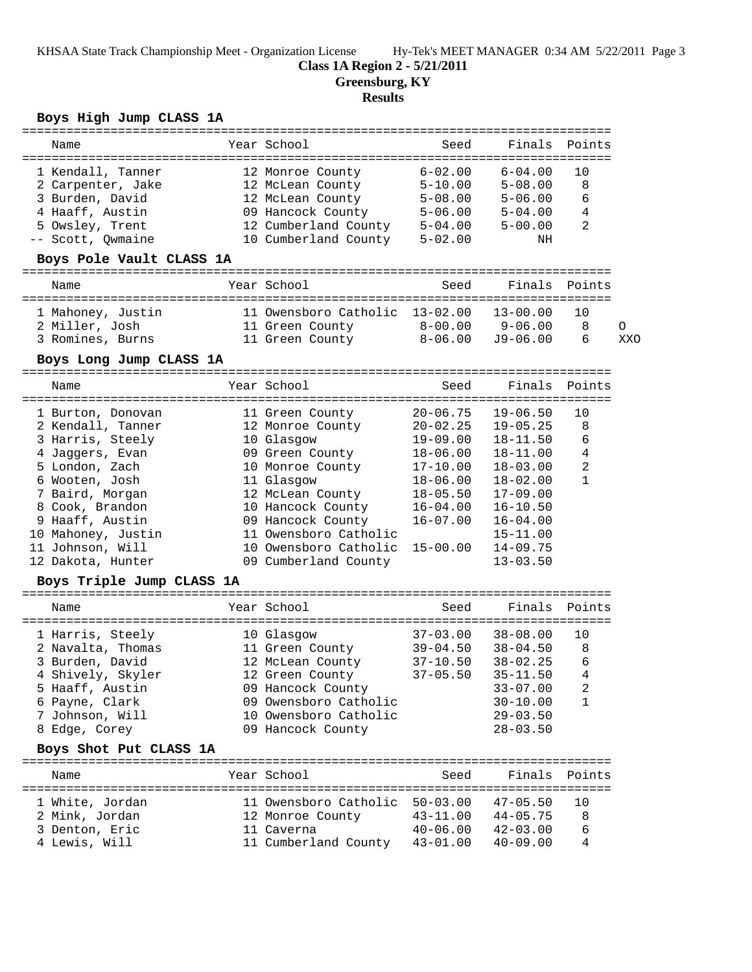#### **Class 1A Region 2 - 5/21/2011**

**Greensburg, KY**

# **Results**

## **Boys High Jump CLASS 1A**

| Name                                                                                                                                                                                                                                                                   |  | Year School                                                                                                                                                                                                                                    | Seed                                                                                                                                             | Finals                                                                                                                                                                                       | Points                                 |          |  |
|------------------------------------------------------------------------------------------------------------------------------------------------------------------------------------------------------------------------------------------------------------------------|--|------------------------------------------------------------------------------------------------------------------------------------------------------------------------------------------------------------------------------------------------|--------------------------------------------------------------------------------------------------------------------------------------------------|----------------------------------------------------------------------------------------------------------------------------------------------------------------------------------------------|----------------------------------------|----------|--|
| 1 Kendall, Tanner<br>2 Carpenter, Jake<br>3 Burden, David<br>4 Haaff, Austin<br>5 Owsley, Trent<br>-- Scott, Qwmaine                                                                                                                                                   |  | 12 Monroe County<br>12 McLean County<br>12 McLean County<br>09 Hancock County<br>12 Cumberland County 5-04.00<br>10 Cumberland County                                                                                                          | $6 - 02.00$<br>$5 - 10.00$<br>$5 - 08.00$<br>$5 - 06.00$<br>$5 - 02.00$                                                                          | $6 - 04.00$<br>$5 - 08.00$<br>$5 - 06.00$<br>$5 - 04.00$<br>$5 - 00.00$<br>NH                                                                                                                | 10<br>8<br>6<br>4<br>2                 |          |  |
| Boys Pole Vault CLASS 1A                                                                                                                                                                                                                                               |  |                                                                                                                                                                                                                                                |                                                                                                                                                  |                                                                                                                                                                                              |                                        |          |  |
| Name                                                                                                                                                                                                                                                                   |  | Year School                                                                                                                                                                                                                                    | Seed                                                                                                                                             | Finals                                                                                                                                                                                       | Points                                 |          |  |
| 1 Mahoney, Justin<br>2 Miller, Josh<br>3 Romines, Burns                                                                                                                                                                                                                |  | 11 Owensboro Catholic 13-02.00<br>11 Green County<br>11 Green County                                                                                                                                                                           | $8 - 00.00$<br>$8 - 06.00$                                                                                                                       | $13 - 00.00$<br>$9 - 06.00$<br>$J9 - 06.00$                                                                                                                                                  | 10<br>8<br>6                           | 0<br>XXO |  |
| Boys Long Jump CLASS 1A                                                                                                                                                                                                                                                |  |                                                                                                                                                                                                                                                |                                                                                                                                                  |                                                                                                                                                                                              |                                        |          |  |
|                                                                                                                                                                                                                                                                        |  |                                                                                                                                                                                                                                                |                                                                                                                                                  |                                                                                                                                                                                              |                                        |          |  |
| Name                                                                                                                                                                                                                                                                   |  | Year School                                                                                                                                                                                                                                    | Seed                                                                                                                                             | Finals                                                                                                                                                                                       | Points                                 |          |  |
| 1 Burton, Donovan<br>2 Kendall, Tanner<br>3 Harris, Steely<br>4 Jaggers, Evan<br>5 London, Zach<br>6 Wooten, Josh<br>7 Baird, Morgan<br>8 Cook, Brandon<br>9 Haaff, Austin<br>10 Mahoney, Justin<br>11 Johnson, Will<br>12 Dakota, Hunter<br>Boys Triple Jump CLASS 1A |  | 11 Green County<br>12 Monroe County<br>10 Glasgow<br>09 Green County<br>10 Monroe County<br>11 Glasgow<br>12 McLean County<br>10 Hancock County<br>09 Hancock County<br>11 Owensboro Catholic<br>10 Owensboro Catholic<br>09 Cumberland County | $20 - 06.75$<br>$20 - 02.25$<br>19-09.00<br>$18 - 06.00$<br>$17 - 10.00$<br>18-06.00<br>$18 - 05.50$<br>16-04.00<br>$16 - 07.00$<br>$15 - 00.00$ | $19 - 06.50$<br>$19 - 05.25$<br>$18 - 11.50$<br>$18 - 11.00$<br>$18 - 03.00$<br>$18 - 02.00$<br>$17 - 09.00$<br>$16 - 10.50$<br>$16 - 04.00$<br>$15 - 11.00$<br>$14 - 09.75$<br>$13 - 03.50$ | 10<br>8<br>6<br>4<br>2<br>$\mathbf{1}$ |          |  |
| Name                                                                                                                                                                                                                                                                   |  | Year School                                                                                                                                                                                                                                    | Seed                                                                                                                                             | Finals                                                                                                                                                                                       | Points                                 |          |  |
| 1 Harris, Steely<br>2 Navalta, Thomas<br>3 Burden, David<br>4 Shively, Skyler<br>5 Haaff, Austin<br>6 Payne, Clark<br>7 Johnson, Will<br>8 Edge, Corey                                                                                                                 |  | 10 Glasgow<br>11 Green County<br>12 McLean County<br>12 Green County<br>09 Hancock County<br>09 Owensboro Catholic<br>10 Owensboro Catholic<br>09 Hancock County                                                                               | $37 - 03.00$<br>39-04.50<br>$37 - 10.50$                                                                                                         | $38 - 08.00$<br>38-04.50<br>$38 - 02.25$<br>$37-05.50$ $35-11.50$<br>$33 - 07.00$<br>$30 - 10.00$<br>$29 - 03.50$<br>$28 - 03.50$                                                            | 10<br>8<br>6<br>4<br>2<br>1            |          |  |
| Boys Shot Put CLASS 1A                                                                                                                                                                                                                                                 |  |                                                                                                                                                                                                                                                |                                                                                                                                                  |                                                                                                                                                                                              |                                        |          |  |
| Name                                                                                                                                                                                                                                                                   |  | Year School                                                                                                                                                                                                                                    | Seed                                                                                                                                             | Finals Points                                                                                                                                                                                |                                        |          |  |
| 1 White, Jordan<br>2 Mink, Jordan<br>3 Denton, Eric<br>4 Lewis, Will                                                                                                                                                                                                   |  | 11 Owensboro Catholic 50-03.00 47-05.50<br>12 Monroe County 43-11.00 44-05.75<br>11 Caverna<br>11 Cumberland County 43-01.00                                                                                                                   | $40 - 06.00$ $42 - 03.00$                                                                                                                        | $40 - 09.00$                                                                                                                                                                                 | 10<br>8<br>6<br>4                      |          |  |